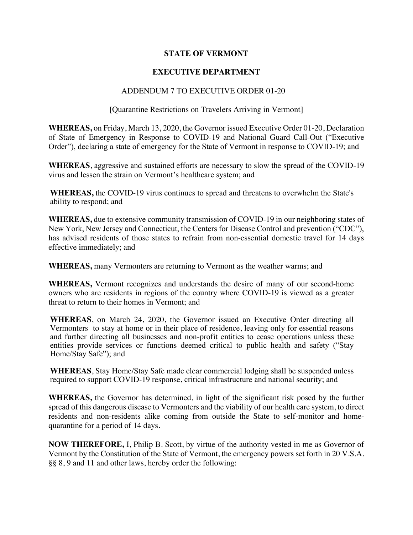## **STATE OF VERMONT**

## **EXECUTIVE DEPARTMENT**

## ADDENDUM 7 TO EXECUTIVE ORDER 01-20

## [Quarantine Restrictions on Travelers Arriving in Vermont]

**WHEREAS,** on Friday, March 13, 2020, the Governor issued Executive Order 01-20, Declaration of State of Emergency in Response to COVID-19 and National Guard Call-Out ("Executive Order"), declaring a state of emergency for the State of Vermont in response to COVID-19; and

**WHEREAS**, aggressive and sustained efforts are necessary to slow the spread of the COVID-19 virus and lessen the strain on Vermont's healthcare system; and

**WHEREAS,** the COVID-19 virus continues to spread and threatens to overwhelm the State's ability to respond; and

**WHEREAS,** due to extensive community transmission of COVID-19 in our neighboring states of New York, New Jersey and Connecticut, the Centers for Disease Control and prevention ("CDC"), has advised residents of those states to refrain from non-essential domestic travel for 14 days effective immediately; and

**WHEREAS,** many Vermonters are returning to Vermont as the weather warms; and

**WHEREAS,** Vermont recognizes and understands the desire of many of our second-home owners who are residents in regions of the country where COVID-19 is viewed as a greater threat to return to their homes in Vermont; and

**WHEREAS**, on March 24, 2020, the Governor issued an Executive Order directing all Vermonters to stay at home or in their place of residence, leaving only for essential reasons and further directing all businesses and non-profit entities to cease operations unless these entities provide services or functions deemed critical to public health and safety ("Stay Home/Stay Safe"); and

**WHEREAS**, Stay Home/Stay Safe made clear commercial lodging shall be suspended unless required to support COVID-19 response, critical infrastructure and national security; and

**WHEREAS,** the Governor has determined, in light of the significant risk posed by the further spread of this dangerous disease to Vermonters and the viability of our health care system, to direct residents and non-residents alike coming from outside the State to self-monitor and homequarantine for a period of 14 days.

**NOW THEREFORE,** I, Philip B. Scott, by virtue of the authority vested in me as Governor of Vermont by the Constitution of the State of Vermont, the emergency powers set forth in 20 V.S.A. §§ 8, 9 and 11 and other laws, hereby order the following: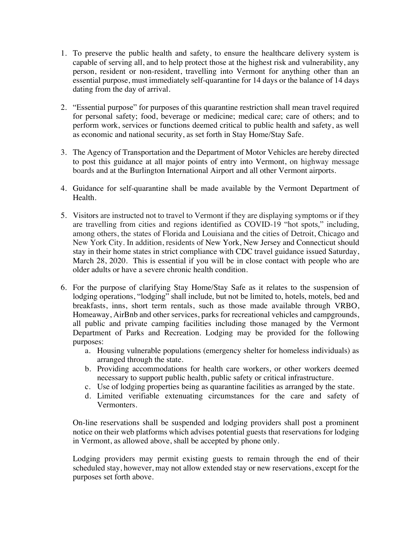- 1. To preserve the public health and safety, to ensure the healthcare delivery system is capable of serving all, and to help protect those at the highest risk and vulnerability, any person, resident or non-resident, travelling into Vermont for anything other than an essential purpose, must immediately self-quarantine for 14 days or the balance of 14 days dating from the day of arrival.
- 2. "Essential purpose" for purposes of this quarantine restriction shall mean travel required for personal safety; food, beverage or medicine; medical care; care of others; and to perform work, services or functions deemed critical to public health and safety, as well as economic and national security, as set forth in Stay Home/Stay Safe.
- 3. The Agency of Transportation and the Department of Motor Vehicles are hereby directed to post this guidance at all major points of entry into Vermont, on highway message boards and at the Burlington International Airport and all other Vermont airports.
- 4. Guidance for self-quarantine shall be made available by the Vermont Department of Health.
- 5. Visitors are instructed not to travel to Vermont if they are displaying symptoms or if they are travelling from cities and regions identified as COVID-19 "hot spots," including, among others, the states of Florida and Louisiana and the cities of Detroit, Chicago and New York City. In addition, residents of New York, New Jersey and Connecticut should stay in their home states in strict compliance with CDC travel guidance issued Saturday, March 28, 2020. This is essential if you will be in close contact with people who are older adults or have a severe chronic health condition.
- 6. For the purpose of clarifying Stay Home/Stay Safe as it relates to the suspension of lodging operations, "lodging" shall include, but not be limited to, hotels, motels, bed and breakfasts, inns, short term rentals, such as those made available through VRBO, Homeaway, AirBnb and other services, parks for recreational vehicles and campgrounds, all public and private camping facilities including those managed by the Vermont Department of Parks and Recreation. Lodging may be provided for the following purposes:
	- a. Housing vulnerable populations (emergency shelter for homeless individuals) as arranged through the state.
	- b. Providing accommodations for health care workers, or other workers deemed necessary to support public health, public safety or critical infrastructure.
	- c. Use of lodging properties being as quarantine facilities as arranged by the state.
	- d. Limited verifiable extenuating circumstances for the care and safety of Vermonters.

On-line reservations shall be suspended and lodging providers shall post a prominent notice on their web platforms which advises potential guests that reservations for lodging in Vermont, as allowed above, shall be accepted by phone only.

Lodging providers may permit existing guests to remain through the end of their scheduled stay, however, may not allow extended stay or new reservations, except for the purposes set forth above.